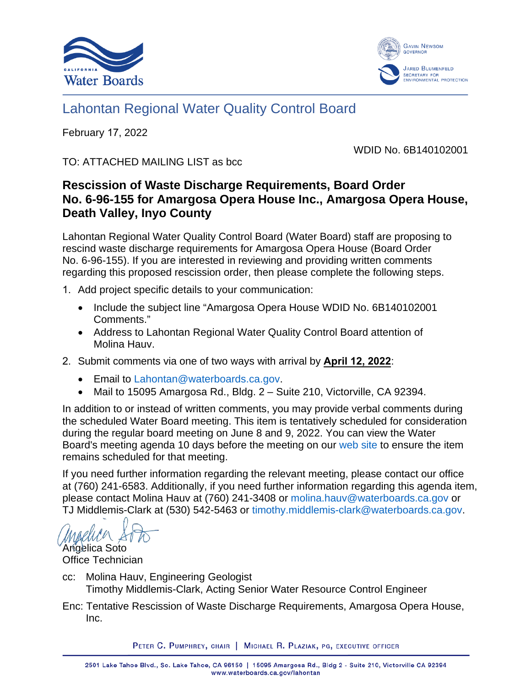



# Lahontan Regional Water Quality Control Board

February 17, 2022

WDID No. 6B140102001

TO: ATTACHED MAILING LIST as bcc

# **Rescission of Waste Discharge Requirements, Board Order No. 6-96-155 for Amargosa Opera House Inc., Amargosa Opera House, Death Valley, Inyo County**

Lahontan Regional Water Quality Control Board (Water Board) staff are proposing to rescind waste discharge requirements for Amargosa Opera House (Board Order No. 6-96-155). If you are interested in reviewing and providing written comments regarding this proposed rescission order, then please complete the following steps.

- 1. Add project specific details to your communication:
	- Include the subject line "Amargosa Opera House WDID No. 6B140102001 Comments."
	- Address to Lahontan Regional Water Quality Control Board attention of Molina Hauv.
- 2. Submit comments via one of two ways with arrival by **April 12, 2022**:
	- Email to [Lahontan@waterboards.ca.gov.](mailto:Lahontan@waterboards.ca.gov)
	- Mail to 15095 Amargosa Rd., Bldg. 2 Suite 210, Victorville, CA 92394.

In addition to or instead of written comments, you may provide verbal comments during the scheduled Water Board meeting. This item is tentatively scheduled for consideration during the regular board meeting on June 8 and 9, 2022. You can view the Water Board's meeting agenda 10 days before the meeting on our [web site](http://www.waterboards.ca.gov/lahontan) to ensure the item remains scheduled for that meeting.

If you need further information regarding the relevant meeting, please contact our office at (760) 241-6583. Additionally, if you need further information regarding this agenda item, please contact Molina Hauv at (760) 241-3408 or [molina.hauv@waterboards.ca.gov](mailto:molina.hauv@waterboards.ca.gov) or TJ Middlemis-Clark at (530) 542-5463 or [timothy.middlemis-clark@waterboards.ca.gov.](mailto:timothy.middlemis-clark@waterboards.ca.gov)

Angelica Soto Office Technician

- cc: Molina Hauv, Engineering Geologist Timothy Middlemis-Clark, Acting Senior Water Resource Control Engineer
- Enc: Tentative Rescission of Waste Discharge Requirements, Amargosa Opera House, Inc.

PETER C. PUMPHREY, CHAIR | MICHAEL R. PLAZIAK, PG, EXECUTIVE OFFICER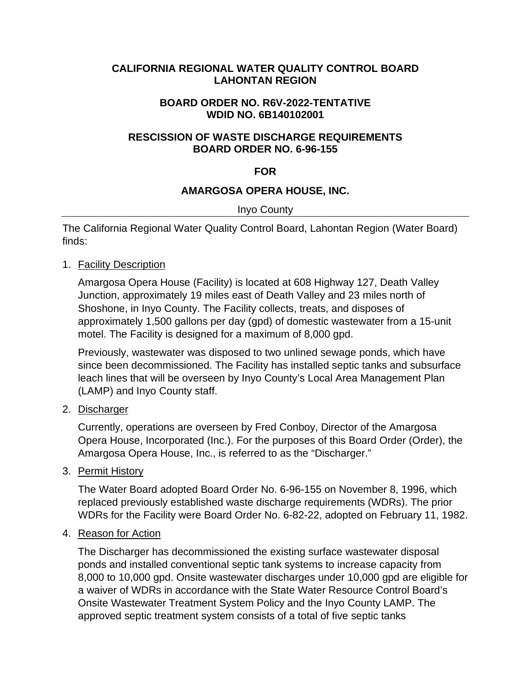#### **CALIFORNIA REGIONAL WATER QUALITY CONTROL BOARD LAHONTAN REGION**

#### **BOARD ORDER NO. R6V-2022-TENTATIVE WDID NO. 6B140102001**

# **RESCISSION OF WASTE DISCHARGE REQUIREMENTS BOARD ORDER NO. 6-96-155**

# **FOR**

# **AMARGOSA OPERA HOUSE, INC.**

#### Inyo County

The California Regional Water Quality Control Board, Lahontan Region (Water Board) finds:

#### 1. Facility Description

Amargosa Opera House (Facility) is located at 608 Highway 127, Death Valley Junction, approximately 19 miles east of Death Valley and 23 miles north of Shoshone, in Inyo County. The Facility collects, treats, and disposes of approximately 1,500 gallons per day (gpd) of domestic wastewater from a 15-unit motel. The Facility is designed for a maximum of 8,000 gpd.

Previously, wastewater was disposed to two unlined sewage ponds, which have since been decommissioned. The Facility has installed septic tanks and subsurface leach lines that will be overseen by Inyo County's Local Area Management Plan (LAMP) and Inyo County staff.

# 2. Discharger

Currently, operations are overseen by Fred Conboy, Director of the Amargosa Opera House, Incorporated (Inc.). For the purposes of this Board Order (Order), the Amargosa Opera House, Inc., is referred to as the "Discharger."

#### 3. Permit History

The Water Board adopted Board Order No. 6-96-155 on November 8, 1996, which replaced previously established waste discharge requirements (WDRs). The prior WDRs for the Facility were Board Order No. 6-82-22, adopted on February 11, 1982.

#### 4. Reason for Action

The Discharger has decommissioned the existing surface wastewater disposal ponds and installed conventional septic tank systems to increase capacity from 8,000 to 10,000 gpd. Onsite wastewater discharges under 10,000 gpd are eligible for a waiver of WDRs in accordance with the State Water Resource Control Board's Onsite Wastewater Treatment System Policy and the Inyo County LAMP. The approved septic treatment system consists of a total of five septic tanks